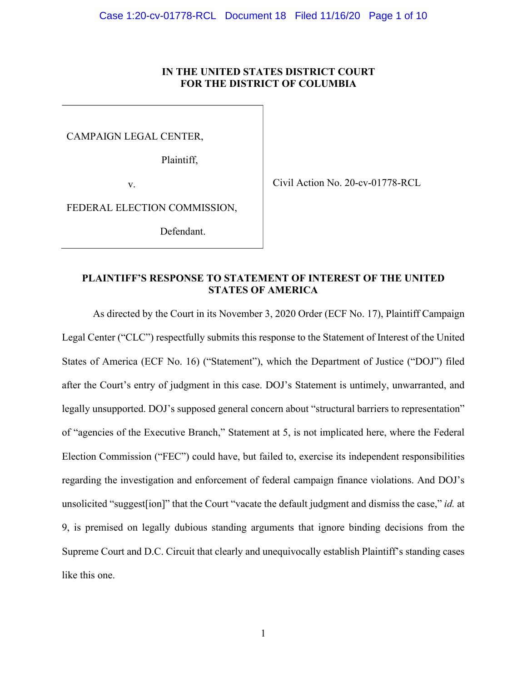# **IN THE UNITED STATES DISTRICT COURT FOR THE DISTRICT OF COLUMBIA**

CAMPAIGN LEGAL CENTER,

Plaintiff,

v.

Civil Action No. 20-cv-01778-RCL

FEDERAL ELECTION COMMISSION,

Defendant.

# **PLAINTIFF'S RESPONSE TO STATEMENT OF INTEREST OF THE UNITED STATES OF AMERICA**

As directed by the Court in its November 3, 2020 Order (ECF No. 17), Plaintiff Campaign Legal Center ("CLC") respectfully submits this response to the Statement of Interest of the United States of America (ECF No. 16) ("Statement"), which the Department of Justice ("DOJ") filed after the Court's entry of judgment in this case. DOJ's Statement is untimely, unwarranted, and legally unsupported. DOJ's supposed general concern about "structural barriers to representation" of "agencies of the Executive Branch," Statement at 5, is not implicated here, where the Federal Election Commission ("FEC") could have, but failed to, exercise its independent responsibilities regarding the investigation and enforcement of federal campaign finance violations. And DOJ's unsolicited "suggest[ion]" that the Court "vacate the default judgment and dismiss the case," *id.* at 9, is premised on legally dubious standing arguments that ignore binding decisions from the Supreme Court and D.C. Circuit that clearly and unequivocally establish Plaintiff's standing cases like this one.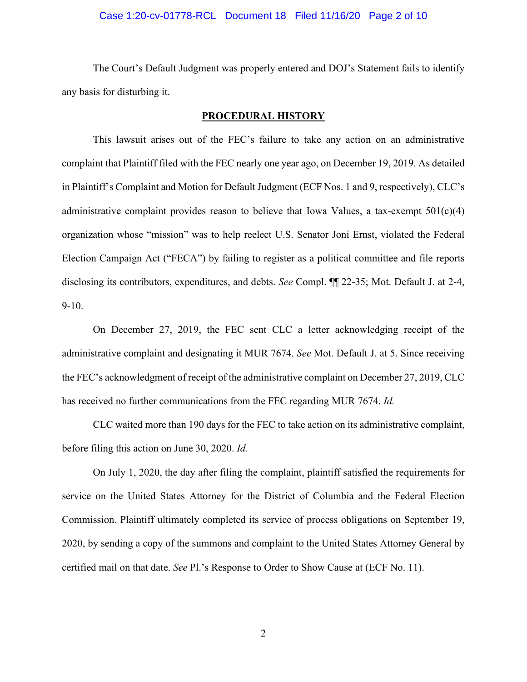### Case 1:20-cv-01778-RCL Document 18 Filed 11/16/20 Page 2 of 10

The Court's Default Judgment was properly entered and DOJ's Statement fails to identify any basis for disturbing it.

### **PROCEDURAL HISTORY**

This lawsuit arises out of the FEC's failure to take any action on an administrative complaint that Plaintiff filed with the FEC nearly one year ago, on December 19, 2019. As detailed in Plaintiff's Complaint and Motion for Default Judgment (ECF Nos. 1 and 9, respectively), CLC's administrative complaint provides reason to believe that Iowa Values, a tax-exempt  $501(c)(4)$ organization whose "mission" was to help reelect U.S. Senator Joni Ernst, violated the Federal Election Campaign Act ("FECA") by failing to register as a political committee and file reports disclosing its contributors, expenditures, and debts. *See* Compl. ¶¶ 22-35; Mot. Default J. at 2-4, 9-10.

On December 27, 2019, the FEC sent CLC a letter acknowledging receipt of the administrative complaint and designating it MUR 7674. *See* Mot. Default J. at 5. Since receiving the FEC's acknowledgment of receipt of the administrative complaint on December 27, 2019, CLC has received no further communications from the FEC regarding MUR 7674. *Id.*

CLC waited more than 190 days for the FEC to take action on its administrative complaint, before filing this action on June 30, 2020. *Id.*

On July 1, 2020, the day after filing the complaint, plaintiff satisfied the requirements for service on the United States Attorney for the District of Columbia and the Federal Election Commission. Plaintiff ultimately completed its service of process obligations on September 19, 2020, by sending a copy of the summons and complaint to the United States Attorney General by certified mail on that date. *See* Pl.'s Response to Order to Show Cause at (ECF No. 11).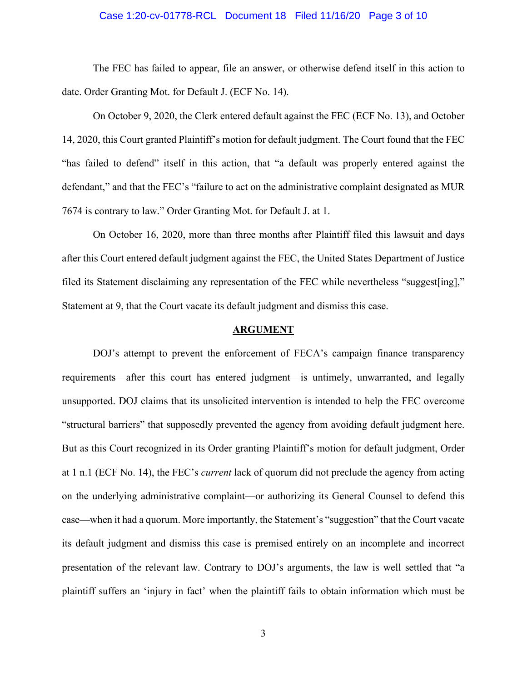#### Case 1:20-cv-01778-RCL Document 18 Filed 11/16/20 Page 3 of 10

The FEC has failed to appear, file an answer, or otherwise defend itself in this action to date. Order Granting Mot. for Default J. (ECF No. 14).

On October 9, 2020, the Clerk entered default against the FEC (ECF No. 13), and October 14, 2020, this Court granted Plaintiff's motion for default judgment. The Court found that the FEC "has failed to defend" itself in this action, that "a default was properly entered against the defendant," and that the FEC's "failure to act on the administrative complaint designated as MUR 7674 is contrary to law." Order Granting Mot. for Default J. at 1.

On October 16, 2020, more than three months after Plaintiff filed this lawsuit and days after this Court entered default judgment against the FEC, the United States Department of Justice filed its Statement disclaiming any representation of the FEC while nevertheless "suggest[ing]," Statement at 9, that the Court vacate its default judgment and dismiss this case.

#### **ARGUMENT**

DOJ's attempt to prevent the enforcement of FECA's campaign finance transparency requirements—after this court has entered judgment—is untimely, unwarranted, and legally unsupported. DOJ claims that its unsolicited intervention is intended to help the FEC overcome "structural barriers" that supposedly prevented the agency from avoiding default judgment here. But as this Court recognized in its Order granting Plaintiff's motion for default judgment, Order at 1 n.1 (ECF No. 14), the FEC's *current* lack of quorum did not preclude the agency from acting on the underlying administrative complaint—or authorizing its General Counsel to defend this case—when it had a quorum. More importantly, the Statement's "suggestion" that the Court vacate its default judgment and dismiss this case is premised entirely on an incomplete and incorrect presentation of the relevant law. Contrary to DOJ's arguments, the law is well settled that "a plaintiff suffers an 'injury in fact' when the plaintiff fails to obtain information which must be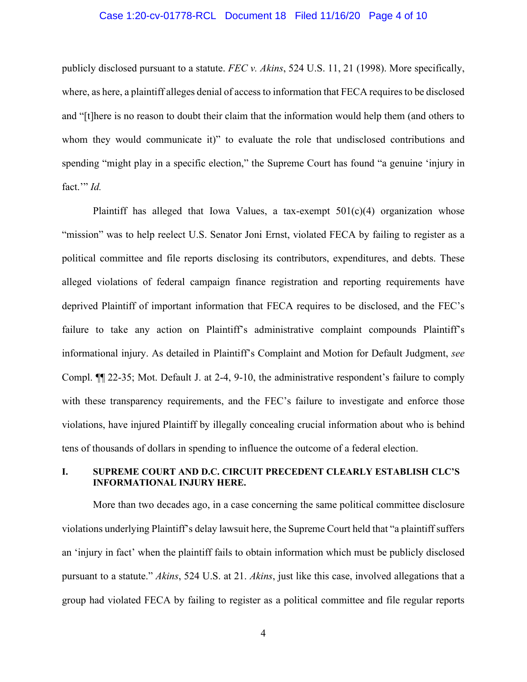### Case 1:20-cv-01778-RCL Document 18 Filed 11/16/20 Page 4 of 10

publicly disclosed pursuant to a statute. *FEC v. Akins*, 524 U.S. 11, 21 (1998). More specifically, where, as here, a plaintiff alleges denial of access to information that FECA requires to be disclosed and "[t]here is no reason to doubt their claim that the information would help them (and others to whom they would communicate it)" to evaluate the role that undisclosed contributions and spending "might play in a specific election," the Supreme Court has found "a genuine 'injury in fact.'" *Id.*

Plaintiff has alleged that Iowa Values, a tax-exempt  $501(c)(4)$  organization whose "mission" was to help reelect U.S. Senator Joni Ernst, violated FECA by failing to register as a political committee and file reports disclosing its contributors, expenditures, and debts. These alleged violations of federal campaign finance registration and reporting requirements have deprived Plaintiff of important information that FECA requires to be disclosed, and the FEC's failure to take any action on Plaintiff's administrative complaint compounds Plaintiff's informational injury. As detailed in Plaintiff's Complaint and Motion for Default Judgment, *see*  Compl. ¶¶ 22-35; Mot. Default J. at 2-4, 9-10, the administrative respondent's failure to comply with these transparency requirements, and the FEC's failure to investigate and enforce those violations, have injured Plaintiff by illegally concealing crucial information about who is behind tens of thousands of dollars in spending to influence the outcome of a federal election.

## **I. SUPREME COURT AND D.C. CIRCUIT PRECEDENT CLEARLY ESTABLISH CLC'S INFORMATIONAL INJURY HERE.**

More than two decades ago, in a case concerning the same political committee disclosure violations underlying Plaintiff's delay lawsuit here, the Supreme Court held that "a plaintiff suffers an 'injury in fact' when the plaintiff fails to obtain information which must be publicly disclosed pursuant to a statute." *Akins*, 524 U.S. at 21. *Akins*, just like this case, involved allegations that a group had violated FECA by failing to register as a political committee and file regular reports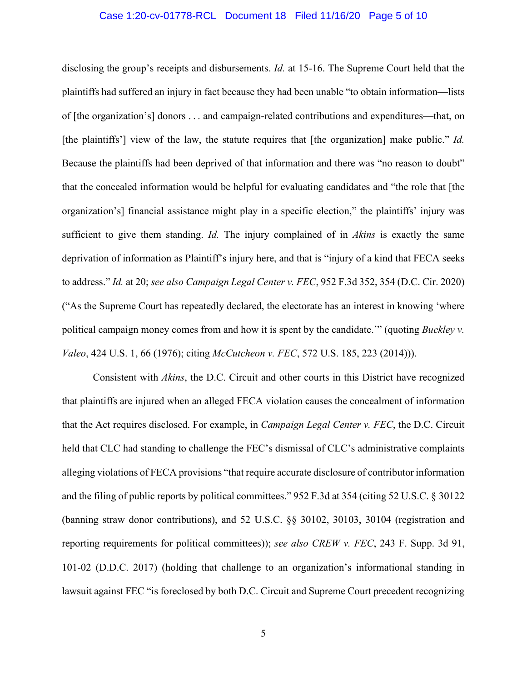### Case 1:20-cv-01778-RCL Document 18 Filed 11/16/20 Page 5 of 10

disclosing the group's receipts and disbursements. *Id.* at 15-16. The Supreme Court held that the plaintiffs had suffered an injury in fact because they had been unable "to obtain information—lists of [the organization's] donors . . . and campaign-related contributions and expenditures—that, on [the plaintiffs'] view of the law, the statute requires that [the organization] make public." *Id.* Because the plaintiffs had been deprived of that information and there was "no reason to doubt" that the concealed information would be helpful for evaluating candidates and "the role that [the organization's] financial assistance might play in a specific election," the plaintiffs' injury was sufficient to give them standing. *Id.* The injury complained of in *Akins* is exactly the same deprivation of information as Plaintiff's injury here, and that is "injury of a kind that FECA seeks to address." *Id.* at 20; *see also Campaign Legal Center v. FEC*, 952 F.3d 352, 354 (D.C. Cir. 2020) ("As the Supreme Court has repeatedly declared, the electorate has an interest in knowing 'where political campaign money comes from and how it is spent by the candidate.'" (quoting *Buckley v. Valeo*, 424 U.S. 1, 66 (1976); citing *McCutcheon v. FEC*, 572 U.S. 185, 223 (2014))).

Consistent with *Akins*, the D.C. Circuit and other courts in this District have recognized that plaintiffs are injured when an alleged FECA violation causes the concealment of information that the Act requires disclosed. For example, in *Campaign Legal Center v. FEC*, the D.C. Circuit held that CLC had standing to challenge the FEC's dismissal of CLC's administrative complaints alleging violations of FECA provisions "that require accurate disclosure of contributor information and the filing of public reports by political committees." 952 F.3d at 354 (citing 52 U.S.C. § 30122 (banning straw donor contributions), and 52 U.S.C. §§ 30102, 30103, 30104 (registration and reporting requirements for political committees)); *see also CREW v. FEC*, 243 F. Supp. 3d 91, 101-02 (D.D.C. 2017) (holding that challenge to an organization's informational standing in lawsuit against FEC "is foreclosed by both D.C. Circuit and Supreme Court precedent recognizing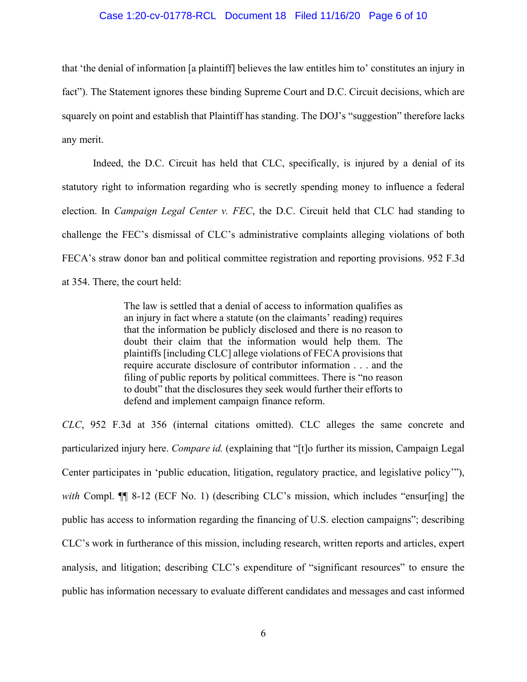#### Case 1:20-cv-01778-RCL Document 18 Filed 11/16/20 Page 6 of 10

that 'the denial of information [a plaintiff] believes the law entitles him to' constitutes an injury in fact"). The Statement ignores these binding Supreme Court and D.C. Circuit decisions, which are squarely on point and establish that Plaintiff has standing. The DOJ's "suggestion" therefore lacks any merit.

Indeed, the D.C. Circuit has held that CLC, specifically, is injured by a denial of its statutory right to information regarding who is secretly spending money to influence a federal election. In *Campaign Legal Center v. FEC*, the D.C. Circuit held that CLC had standing to challenge the FEC's dismissal of CLC's administrative complaints alleging violations of both FECA's straw donor ban and political committee registration and reporting provisions. 952 F.3d at 354. There, the court held:

> The law is settled that a denial of access to information qualifies as an injury in fact where a statute (on the claimants' reading) requires that the information be publicly disclosed and there is no reason to doubt their claim that the information would help them. The plaintiffs [including CLC] allege violations of FECA provisions that require accurate disclosure of contributor information . . . and the filing of public reports by political committees. There is "no reason to doubt" that the disclosures they seek would further their efforts to defend and implement campaign finance reform.

*CLC*, 952 F.3d at 356 (internal citations omitted). CLC alleges the same concrete and particularized injury here. *Compare id.* (explaining that "[t]o further its mission, Campaign Legal Center participates in 'public education, litigation, regulatory practice, and legislative policy'"), *with* Compl.  $\P$  8-12 (ECF No. 1) (describing CLC's mission, which includes "ensur[ing] the public has access to information regarding the financing of U.S. election campaigns"; describing CLC's work in furtherance of this mission, including research, written reports and articles, expert analysis, and litigation; describing CLC's expenditure of "significant resources" to ensure the public has information necessary to evaluate different candidates and messages and cast informed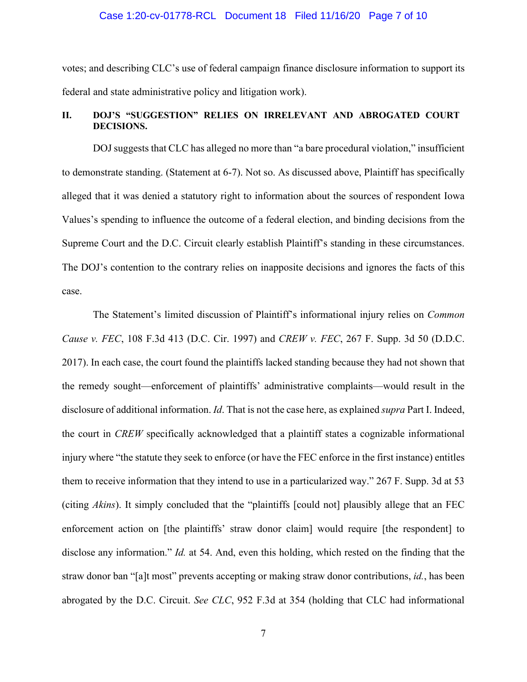#### Case 1:20-cv-01778-RCL Document 18 Filed 11/16/20 Page 7 of 10

votes; and describing CLC's use of federal campaign finance disclosure information to support its federal and state administrative policy and litigation work).

# **II. DOJ'S "SUGGESTION" RELIES ON IRRELEVANT AND ABROGATED COURT DECISIONS.**

DOJ suggests that CLC has alleged no more than "a bare procedural violation," insufficient to demonstrate standing. (Statement at 6-7). Not so. As discussed above, Plaintiff has specifically alleged that it was denied a statutory right to information about the sources of respondent Iowa Values's spending to influence the outcome of a federal election, and binding decisions from the Supreme Court and the D.C. Circuit clearly establish Plaintiff's standing in these circumstances. The DOJ's contention to the contrary relies on inapposite decisions and ignores the facts of this case.

The Statement's limited discussion of Plaintiff's informational injury relies on *Common Cause v. FEC*, 108 F.3d 413 (D.C. Cir. 1997) and *CREW v. FEC*, 267 F. Supp. 3d 50 (D.D.C. 2017). In each case, the court found the plaintiffs lacked standing because they had not shown that the remedy sought—enforcement of plaintiffs' administrative complaints—would result in the disclosure of additional information. *Id*. That is not the case here, as explained *supra* Part I. Indeed, the court in *CREW* specifically acknowledged that a plaintiff states a cognizable informational injury where "the statute they seek to enforce (or have the FEC enforce in the first instance) entitles them to receive information that they intend to use in a particularized way." 267 F. Supp. 3d at 53 (citing *Akins*). It simply concluded that the "plaintiffs [could not] plausibly allege that an FEC enforcement action on [the plaintiffs' straw donor claim] would require [the respondent] to disclose any information." *Id.* at 54. And, even this holding, which rested on the finding that the straw donor ban "[a]t most" prevents accepting or making straw donor contributions, *id.*, has been abrogated by the D.C. Circuit. *See CLC*, 952 F.3d at 354 (holding that CLC had informational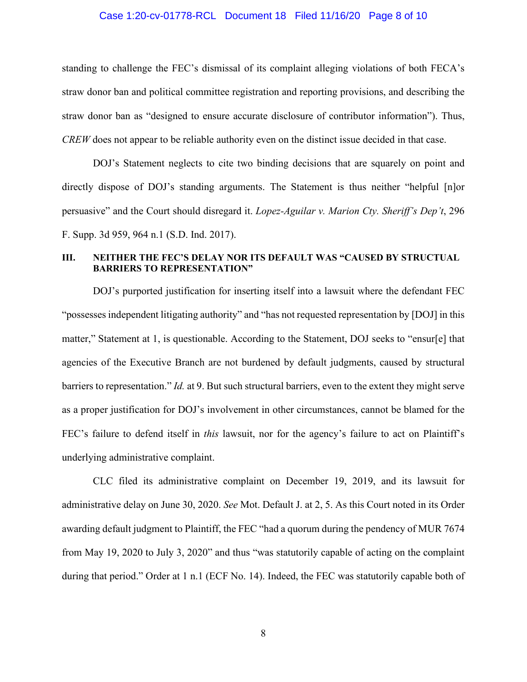#### Case 1:20-cv-01778-RCL Document 18 Filed 11/16/20 Page 8 of 10

standing to challenge the FEC's dismissal of its complaint alleging violations of both FECA's straw donor ban and political committee registration and reporting provisions, and describing the straw donor ban as "designed to ensure accurate disclosure of contributor information"). Thus, *CREW* does not appear to be reliable authority even on the distinct issue decided in that case.

DOJ's Statement neglects to cite two binding decisions that are squarely on point and directly dispose of DOJ's standing arguments. The Statement is thus neither "helpful [n]or persuasive" and the Court should disregard it. *Lopez-Aguilar v. Marion Cty. Sheriff's Dep't*, 296 F. Supp. 3d 959, 964 n.1 (S.D. Ind. 2017).

### **III. NEITHER THE FEC'S DELAY NOR ITS DEFAULT WAS "CAUSED BY STRUCTUAL BARRIERS TO REPRESENTATION"**

DOJ's purported justification for inserting itself into a lawsuit where the defendant FEC "possesses independent litigating authority" and "has not requested representation by [DOJ] in this matter," Statement at 1, is questionable. According to the Statement, DOJ seeks to "ensur[e] that agencies of the Executive Branch are not burdened by default judgments, caused by structural barriers to representation." *Id.* at 9. But such structural barriers, even to the extent they might serve as a proper justification for DOJ's involvement in other circumstances, cannot be blamed for the FEC's failure to defend itself in *this* lawsuit, nor for the agency's failure to act on Plaintiff's underlying administrative complaint.

CLC filed its administrative complaint on December 19, 2019, and its lawsuit for administrative delay on June 30, 2020. *See* Mot. Default J. at 2, 5. As this Court noted in its Order awarding default judgment to Plaintiff, the FEC "had a quorum during the pendency of MUR 7674 from May 19, 2020 to July 3, 2020" and thus "was statutorily capable of acting on the complaint during that period." Order at 1 n.1 (ECF No. 14). Indeed, the FEC was statutorily capable both of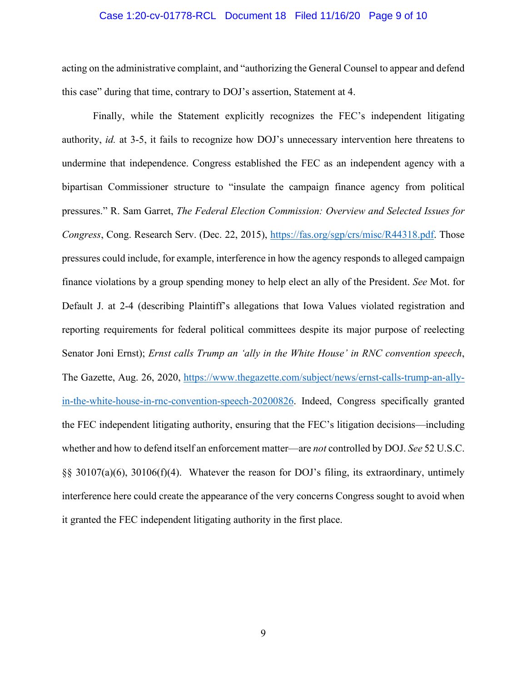#### Case 1:20-cv-01778-RCL Document 18 Filed 11/16/20 Page 9 of 10

acting on the administrative complaint, and "authorizing the General Counsel to appear and defend this case" during that time, contrary to DOJ's assertion, Statement at 4.

Finally, while the Statement explicitly recognizes the FEC's independent litigating authority, *id.* at 3-5, it fails to recognize how DOJ's unnecessary intervention here threatens to undermine that independence. Congress established the FEC as an independent agency with a bipartisan Commissioner structure to "insulate the campaign finance agency from political pressures." R. Sam Garret, *The Federal Election Commission: Overview and Selected Issues for Congress*, Cong. Research Serv. (Dec. 22, 2015), [https://fas.org/sgp/crs/misc/R44318.pdf.](https://fas.org/sgp/crs/misc/R44318.pdf) Those pressures could include, for example, interference in how the agency responds to alleged campaign finance violations by a group spending money to help elect an ally of the President. *See* Mot. for Default J. at 2-4 (describing Plaintiff's allegations that Iowa Values violated registration and reporting requirements for federal political committees despite its major purpose of reelecting Senator Joni Ernst); *Ernst calls Trump an 'ally in the White House' in RNC convention speech*, The Gazette, Aug. 26, 2020, [https://www.thegazette.com/subject/news/ernst-calls-trump-an-ally](https://www.thegazette.com/subject/news/ernst-calls-trump-an-ally-in-the-white-house-in-rnc-convention-speech-20200826)[in-the-white-house-in-rnc-convention-speech-20200826.](https://www.thegazette.com/subject/news/ernst-calls-trump-an-ally-in-the-white-house-in-rnc-convention-speech-20200826) Indeed, Congress specifically granted the FEC independent litigating authority, ensuring that the FEC's litigation decisions—including whether and how to defend itself an enforcement matter—are *not* controlled by DOJ. *See* 52 U.S.C. §§ 30107(a)(6), 30106(f)(4). Whatever the reason for DOJ's filing, its extraordinary, untimely interference here could create the appearance of the very concerns Congress sought to avoid when it granted the FEC independent litigating authority in the first place.